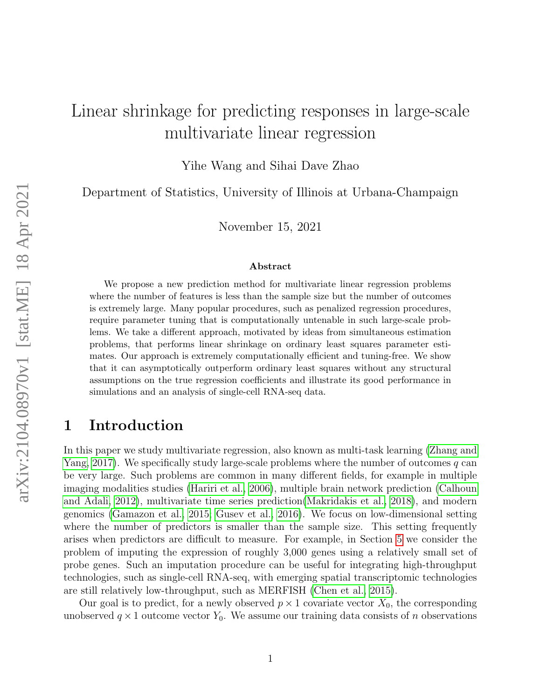# Linear shrinkage for predicting responses in large-scale multivariate linear regression

Yihe Wang and Sihai Dave Zhao

Department of Statistics, University of Illinois at Urbana-Champaign

November 15, 2021

#### Abstract

We propose a new prediction method for multivariate linear regression problems where the number of features is less than the sample size but the number of outcomes is extremely large. Many popular procedures, such as penalized regression procedures, require parameter tuning that is computationally untenable in such large-scale problems. We take a different approach, motivated by ideas from simultaneous estimation problems, that performs linear shrinkage on ordinary least squares parameter estimates. Our approach is extremely computationally efficient and tuning-free. We show that it can asymptotically outperform ordinary least squares without any structural assumptions on the true regression coefficients and illustrate its good performance in simulations and an analysis of single-cell RNA-seq data.

### 1 Introduction

In this paper we study multivariate regression, also known as multi-task learning [\(Zhang and](#page-13-0) [Yang, 2017\)](#page-13-0). We specifically study large-scale problems where the number of outcomes  $q$  can be very large. Such problems are common in many different fields, for example in multiple imaging modalities studies [\(Hariri et al., 2006\)](#page-11-0), multiple brain network prediction [\(Calhoun](#page-11-1) [and Adali, 2012\)](#page-11-1), multivariate time series prediction[\(Makridakis et al., 2018\)](#page-12-0), and modern genomics [\(Gamazon et al., 2015;](#page-11-2) [Gusev et al., 2016\)](#page-11-3). We focus on low-dimensional setting where the number of predictors is smaller than the sample size. This setting frequently arises when predictors are difficult to measure. For example, in Section [5](#page-7-0) we consider the problem of imputing the expression of roughly 3,000 genes using a relatively small set of probe genes. Such an imputation procedure can be useful for integrating high-throughput technologies, such as single-cell RNA-seq, with emerging spatial transcriptomic technologies are still relatively low-throughput, such as MERFISH [\(Chen et al., 2015\)](#page-11-4).

Our goal is to predict, for a newly observed  $p \times 1$  covariate vector  $X_0$ , the corresponding unobserved  $q \times 1$  outcome vector  $Y_0$ . We assume our training data consists of n observations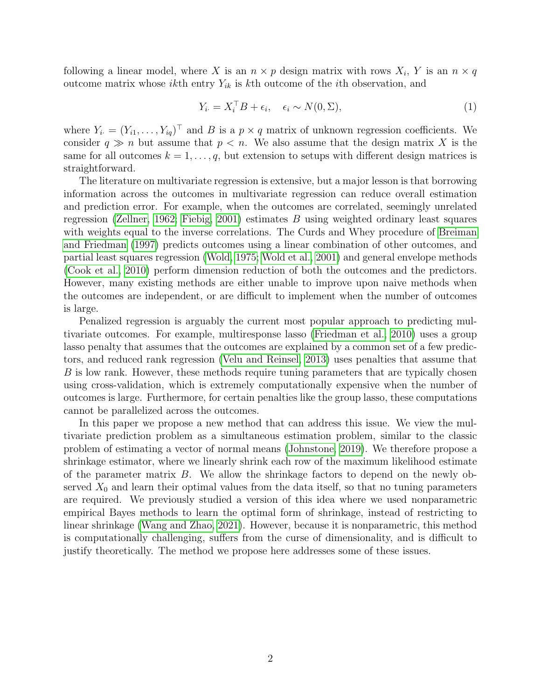following a linear model, where X is an  $n \times p$  design matrix with rows  $X_i$ , Y is an  $n \times q$ outcome matrix whose *ikth* entry  $Y_{ik}$  is kth outcome of the *i*th observation, and

<span id="page-1-0"></span>
$$
Y_{i \cdot} = X_i^{\top} B + \epsilon_i, \quad \epsilon_i \sim N(0, \Sigma), \tag{1}
$$

where  $Y_i = (Y_{i1}, \ldots, Y_{iq})^\top$  and B is a  $p \times q$  matrix of unknown regression coefficients. We consider  $q \gg n$  but assume that  $p < n$ . We also assume that the design matrix X is the same for all outcomes  $k = 1, \ldots, q$ , but extension to setups with different design matrices is straightforward.

The literature on multivariate regression is extensive, but a major lesson is that borrowing information across the outcomes in multivariate regression can reduce overall estimation and prediction error. For example, when the outcomes are correlated, seemingly unrelated regression [\(Zellner, 1962;](#page-13-1) [Fiebig, 2001\)](#page-11-5) estimates  $B$  using weighted ordinary least squares with weights equal to the inverse correlations. The Curds and Whey procedure of [Breiman](#page-11-6) [and Friedman](#page-11-6) [\(1997\)](#page-11-6) predicts outcomes using a linear combination of other outcomes, and partial least squares regression [\(Wold, 1975;](#page-13-2) [Wold et al., 2001\)](#page-13-3) and general envelope methods [\(Cook et al., 2010\)](#page-11-7) perform dimension reduction of both the outcomes and the predictors. However, many existing methods are either unable to improve upon naive methods when the outcomes are independent, or are difficult to implement when the number of outcomes is large.

Penalized regression is arguably the current most popular approach to predicting multivariate outcomes. For example, multiresponse lasso [\(Friedman et al., 2010\)](#page-11-8) uses a group lasso penalty that assumes that the outcomes are explained by a common set of a few predictors, and reduced rank regression [\(Velu and Reinsel, 2013\)](#page-13-4) uses penalties that assume that B is low rank. However, these methods require tuning parameters that are typically chosen using cross-validation, which is extremely computationally expensive when the number of outcomes is large. Furthermore, for certain penalties like the group lasso, these computations cannot be parallelized across the outcomes.

In this paper we propose a new method that can address this issue. We view the multivariate prediction problem as a simultaneous estimation problem, similar to the classic problem of estimating a vector of normal means [\(Johnstone, 2019\)](#page-12-1). We therefore propose a shrinkage estimator, where we linearly shrink each row of the maximum likelihood estimate of the parameter matrix B. We allow the shrinkage factors to depend on the newly observed  $X_0$  and learn their optimal values from the data itself, so that no tuning parameters are required. We previously studied a version of this idea where we used nonparametric empirical Bayes methods to learn the optimal form of shrinkage, instead of restricting to linear shrinkage [\(Wang and Zhao, 2021\)](#page-13-5). However, because it is nonparametric, this method is computationally challenging, suffers from the curse of dimensionality, and is difficult to justify theoretically. The method we propose here addresses some of these issues.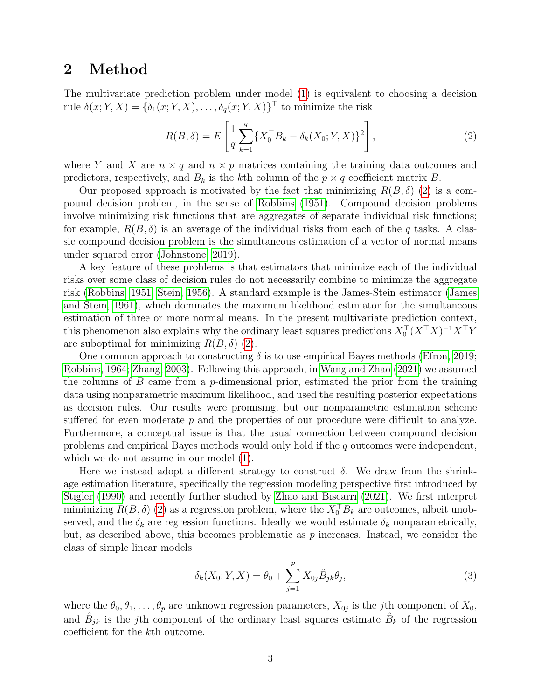### <span id="page-2-2"></span>2 Method

The multivariate prediction problem under model [\(1\)](#page-1-0) is equivalent to choosing a decision rule  $\delta(x; Y, X) = \{\delta_1(x; Y, X), \ldots, \delta_q(x; Y, X)\}^{\top}$  to minimize the risk

<span id="page-2-0"></span>
$$
R(B,\delta) = E\left[\frac{1}{q} \sum_{k=1}^{q} \{X_0^{\top} B_k - \delta_k(X_0; Y, X)\}^2\right],
$$
\n(2)

where Y and X are  $n \times q$  and  $n \times p$  matrices containing the training data outcomes and predictors, respectively, and  $B_k$  is the kth column of the  $p \times q$  coefficient matrix B.

Our proposed approach is motivated by the fact that minimizing  $R(B,\delta)$  [\(2\)](#page-2-0) is a compound decision problem, in the sense of [Robbins](#page-12-2) [\(1951\)](#page-12-2). Compound decision problems involve minimizing risk functions that are aggregates of separate individual risk functions; for example,  $R(B, \delta)$  is an average of the individual risks from each of the q tasks. A classic compound decision problem is the simultaneous estimation of a vector of normal means under squared error [\(Johnstone, 2019\)](#page-12-1).

A key feature of these problems is that estimators that minimize each of the individual risks over some class of decision rules do not necessarily combine to minimize the aggregate risk [\(Robbins, 1951;](#page-12-2) [Stein, 1956\)](#page-12-3). A standard example is the James-Stein estimator [\(James](#page-11-9) [and Stein, 1961\)](#page-11-9), which dominates the maximum likelihood estimator for the simultaneous estimation of three or more normal means. In the present multivariate prediction context, this phenomenon also explains why the ordinary least squares predictions  $X_0^{\top} (X^{\top} X)^{-1} X^{\top} Y$ are suboptimal for minimizing  $R(B, \delta)$  [\(2\)](#page-2-0).

One common approach to constructing  $\delta$  is to use empirical Bayes methods [\(Efron, 2019;](#page-11-10) [Robbins, 1964;](#page-12-4) [Zhang, 2003\)](#page-13-6). Following this approach, in [Wang and Zhao](#page-13-5) [\(2021\)](#page-13-5) we assumed the columns of  $B$  came from a p-dimensional prior, estimated the prior from the training data using nonparametric maximum likelihood, and used the resulting posterior expectations as decision rules. Our results were promising, but our nonparametric estimation scheme suffered for even moderate  $p$  and the properties of our procedure were difficult to analyze. Furthermore, a conceptual issue is that the usual connection between compound decision problems and empirical Bayes methods would only hold if the q outcomes were independent, which we do not assume in our model [\(1\)](#page-1-0).

Here we instead adopt a different strategy to construct  $\delta$ . We draw from the shrinkage estimation literature, specifically the regression modeling perspective first introduced by [Stigler](#page-12-5) [\(1990\)](#page-12-5) and recently further studied by [Zhao and Biscarri](#page-13-7) [\(2021\)](#page-13-7). We first interpret miminizing  $R(B, \delta)$  [\(2\)](#page-2-0) as a regression problem, where the  $X_0<sup>T</sup>B_k$  are outcomes, albeit unobserved, and the  $\delta_k$  are regression functions. Ideally we would estimate  $\delta_k$  nonparametrically, but, as described above, this becomes problematic as  $p$  increases. Instead, we consider the class of simple linear models

<span id="page-2-1"></span>
$$
\delta_k(X_0; Y, X) = \theta_0 + \sum_{j=1}^p X_{0j} \hat{B}_{jk} \theta_j,
$$
\n(3)

where the  $\theta_0, \theta_1, \dots, \theta_p$  are unknown regression parameters,  $X_{0j}$  is the *j*th component of  $X_0$ , and  $\hat{B}_{jk}$  is the j<sup>th</sup> component of the ordinary least squares estimate  $\hat{B}_k$  of the regression coefficient for the kth outcome.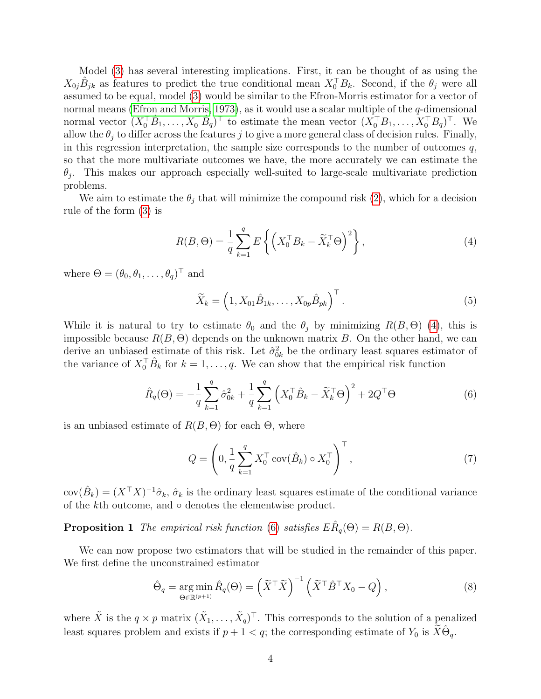Model [\(3\)](#page-2-1) has several interesting implications. First, it can be thought of as using the  $X_{0j}\hat{B}_{jk}$  as features to predict the true conditional mean  $X_0^{\top}B_k$ . Second, if the  $\theta_j$  were all assumed to be equal, model [\(3\)](#page-2-1) would be similar to the Efron-Morris estimator for a vector of normal means [\(Efron and Morris, 1973\)](#page-11-11), as it would use a scalar multiple of the q-dimensional normal vector  $(X_0^{\top} \hat{B}_1, \ldots, X_0^{\top} \hat{B}_q)^{\top}$  to estimate the mean vector  $(X_0^{\top} B_1, \ldots, X_0^{\top} B_q)^{\top}$ . We allow the  $\theta_j$  to differ across the features j to give a more general class of decision rules. Finally, in this regression interpretation, the sample size corresponds to the number of outcomes  $q$ , so that the more multivariate outcomes we have, the more accurately we can estimate the  $\theta_j$ . This makes our approach especially well-suited to large-scale multivariate prediction problems.

We aim to estimate the  $\theta_i$  that will minimize the compound risk [\(2\)](#page-2-0), which for a decision rule of the form [\(3\)](#page-2-1) is

<span id="page-3-0"></span>
$$
R(B,\Theta) = \frac{1}{q} \sum_{k=1}^{q} E\left\{ \left( X_0^{\top} B_k - \widetilde{X}_k^{\top} \Theta \right)^2 \right\},\tag{4}
$$

where  $\Theta = (\theta_0, \theta_1, \dots, \theta_q)^\top$  and

$$
\widetilde{X}_k = \left(1, X_{01}\hat{B}_{1k}, \dots, X_{0p}\hat{B}_{pk}\right)^{\top}.
$$
\n
$$
(5)
$$

While it is natural to try to estimate  $\theta_0$  and the  $\theta_i$  by minimizing  $R(B, \Theta)$  [\(4\)](#page-3-0), this is impossible because  $R(B, \Theta)$  depends on the unknown matrix B. On the other hand, we can derive an unbiased estimate of this risk. Let  $\hat{\sigma}_{0k}^2$  be the ordinary least squares estimator of the variance of  $X_0^{\top} \hat{B}_k$  for  $k = 1, \ldots, q$ . We can show that the empirical risk function

<span id="page-3-1"></span>
$$
\hat{R}_q(\Theta) = -\frac{1}{q} \sum_{k=1}^q \hat{\sigma}_{0k}^2 + \frac{1}{q} \sum_{k=1}^q \left( X_0^\top \hat{B}_k - \tilde{X}_k^\top \Theta \right)^2 + 2Q^\top \Theta \tag{6}
$$

is an unbiased estimate of  $R(B, \Theta)$  for each  $\Theta$ , where

<span id="page-3-4"></span>
$$
Q = \left(0, \frac{1}{q} \sum_{k=1}^{q} X_0^{\top} \operatorname{cov}(\hat{B}_k) \circ X_0^{\top}\right)^{\top},\tag{7}
$$

 $cov(\hat{B}_k) = (X^{\top}X)^{-1}\hat{\sigma}_k$ ,  $\hat{\sigma}_k$  is the ordinary least squares estimate of the conditional variance of the kth outcome, and ◦ denotes the elementwise product.

<span id="page-3-3"></span>**Proposition 1** The empirical risk function [\(6\)](#page-3-1) satisfies  $E\hat{R}_q(\Theta) = R(B, \Theta)$ .

We can now propose two estimators that will be studied in the remainder of this paper. We first define the unconstrained estimator

<span id="page-3-2"></span>
$$
\hat{\Theta}_q = \underset{\Theta \in \mathbb{R}^{(p+1)}}{\arg \min} \hat{R}_q(\Theta) = \left(\tilde{X}^\top \tilde{X}\right)^{-1} \left(\tilde{X}^\top \hat{B}^\top X_0 - Q\right),\tag{8}
$$

where  $\tilde{X}$  is the  $q \times p$  matrix  $(\tilde{X}_1, \ldots, \tilde{X}_q)^\top$ . This corresponds to the solution of a penalized least squares problem and exists if  $p + 1 < q$ ; the corresponding estimate of  $Y_0$  is  $\widetilde{X}\hat{\Theta}_q$ .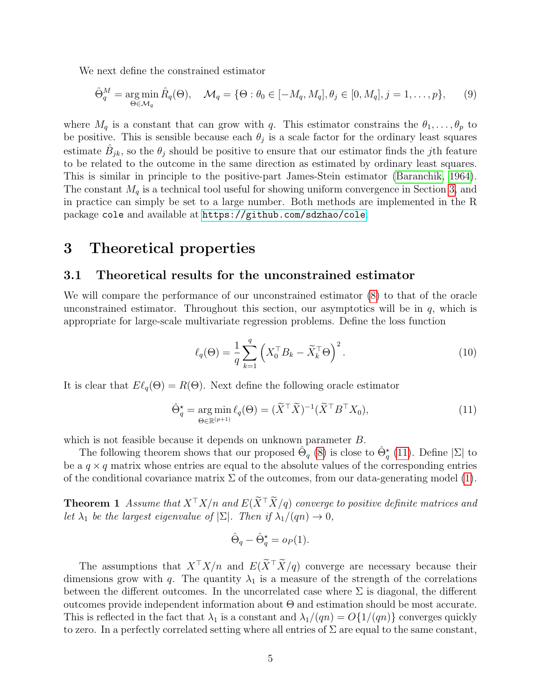We next define the constrained estimator

<span id="page-4-3"></span>
$$
\hat{\Theta}_q^M = \underset{\Theta \in \mathcal{M}_q}{\arg \min} \,\hat{R}_q(\Theta), \quad \mathcal{M}_q = \{ \Theta : \theta_0 \in [-M_q, M_q], \theta_j \in [0, M_q], j = 1, \dots, p \}, \tag{9}
$$

where  $M_q$  is a constant that can grow with q. This estimator constrains the  $\theta_1, \ldots, \theta_p$  to be positive. This is sensible because each  $\theta_j$  is a scale factor for the ordinary least squares estimate  $\hat{B}_{jk}$ , so the  $\theta_j$  should be positive to ensure that our estimator finds the *j*th feature to be related to the outcome in the same direction as estimated by ordinary least squares. This is similar in principle to the positive-part James-Stein estimator [\(Baranchik, 1964\)](#page-10-0). The constant  $M_q$  is a technical tool useful for showing uniform convergence in Section [3,](#page-4-0) and in practice can simply be set to a large number. Both methods are implemented in the R package cole and available at <https://github.com/sdzhao/cole>.

### <span id="page-4-0"></span>3 Theoretical properties

#### <span id="page-4-5"></span>3.1 Theoretical results for the unconstrained estimator

We will compare the performance of our unconstrained estimator [\(8\)](#page-3-2) to that of the oracle unconstrained estimator. Throughout this section, our asymptotics will be in  $q$ , which is appropriate for large-scale multivariate regression problems. Define the loss function

<span id="page-4-4"></span>
$$
\ell_q(\Theta) = \frac{1}{q} \sum_{k=1}^q \left( X_0^\top B_k - \widetilde{X}_k^\top \Theta \right)^2.
$$
 (10)

It is clear that  $E\ell_q(\Theta) = R(\Theta)$ . Next define the following oracle estimator

<span id="page-4-1"></span>
$$
\hat{\Theta}_q^* = \underset{\Theta \in \mathbb{R}^{(p+1)}}{\arg \min} \ell_q(\Theta) = (\tilde{X}^\top \tilde{X})^{-1} (\tilde{X}^\top B^\top X_0),\tag{11}
$$

which is not feasible because it depends on unknown parameter  $B$ .

The following theorem shows that our proposed  $\hat{\Theta}_q$  [\(8\)](#page-3-2) is close to  $\hat{\Theta}_q^{\star}$  [\(11\)](#page-4-1). Define  $|\Sigma|$  to be a  $q \times q$  matrix whose entries are equal to the absolute values of the corresponding entries of the conditional covariance matrix  $\Sigma$  of the outcomes, from our data-generating model [\(1\)](#page-1-0).

<span id="page-4-2"></span>**Theorem 1** Assume that  $X^{\top}X/n$  and  $E(\tilde{X}^{\top}\tilde{X}/q)$  converge to positive definite matrices and let  $\lambda_1$  be the largest eigenvalue of  $|\Sigma|$ . Then if  $\lambda_1/(qn) \to 0$ ,

$$
\hat{\Theta}_q - \hat{\Theta}_q^* = o_P(1).
$$

The assumptions that  $X^{\top}X/n$  and  $E(\tilde{X}^{\top}\tilde{X}/q)$  converge are necessary because their dimensions grow with q. The quantity  $\lambda_1$  is a measure of the strength of the correlations between the different outcomes. In the uncorrelated case where  $\Sigma$  is diagonal, the different outcomes provide independent information about Θ and estimation should be most accurate. This is reflected in the fact that  $\lambda_1$  is a constant and  $\lambda_1/(qn) = O\{1/(qn)\}\)$  converges quickly to zero. In a perfectly correlated setting where all entries of  $\Sigma$  are equal to the same constant,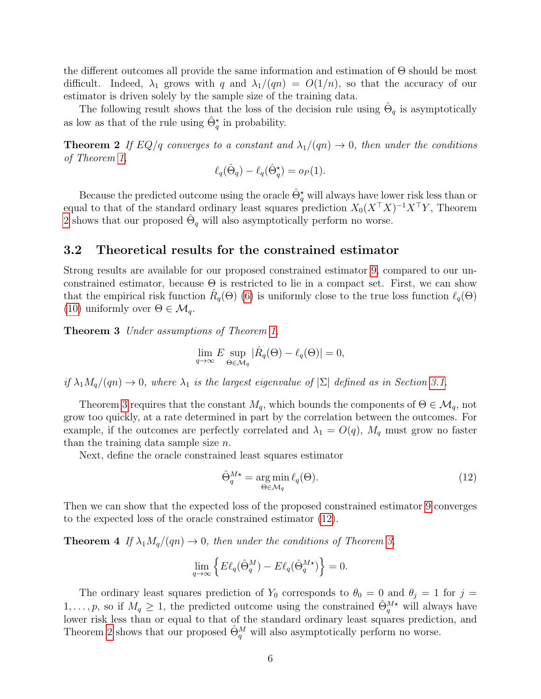the different outcomes all provide the same information and estimation of Θ should be most difficult. Indeed,  $\lambda_1$  grows with q and  $\lambda_1/(qn) = O(1/n)$ , so that the accuracy of our estimator is driven solely by the sample size of the training data.

The following result shows that the loss of the decision rule using  $\hat{\Theta}_q$  is asymptotically as low as that of the rule using  $\hat{\Theta}_q^{\star}$  in probability.

<span id="page-5-0"></span>**Theorem 2** If EQ/q converges to a constant and  $\lambda_1/(qn) \to 0$ , then under the conditions of Theorem [1,](#page-4-2)

$$
\ell_q(\hat{\Theta}_q) - \ell_q(\hat{\Theta}_q^*) = o_P(1).
$$

Because the predicted outcome using the oracle  $\hat{\Theta}_q^{\star}$  will always have lower risk less than or equal to that of the standard ordinary least squares prediction  $X_0(X^{\top}X)^{-1}X^{\top}Y$ , Theorem [2](#page-5-0) shows that our proposed  $\hat{\Theta}_q$  will also asymptotically perform no worse.

#### 3.2 Theoretical results for the constrained estimator

Strong results are available for our proposed constrained estimator [9,](#page-4-3) compared to our unconstrained estimator, because  $\Theta$  is restricted to lie in a compact set. First, we can show that the empirical risk function  $\hat{R}_q(\Theta)$  [\(6\)](#page-3-1) is uniformly close to the true loss function  $\ell_q(\Theta)$ [\(10\)](#page-4-4) uniformly over  $\Theta \in \mathcal{M}_q$ .

<span id="page-5-1"></span>Theorem 3 Under assumptions of Theorem [1,](#page-4-2)

$$
\lim_{q \to \infty} E \sup_{\Theta \in \mathcal{M}_q} |\hat{R}_q(\Theta) - \ell_q(\Theta)| = 0,
$$

if  $\lambda_1 M_q/(qn) \to 0$ , where  $\lambda_1$  is the largest eigenvalue of  $|\Sigma|$  defined as in Section [3.1.](#page-4-5)

Theorem [3](#page-5-1) requires that the constant  $M_q$ , which bounds the components of  $\Theta \in \mathcal{M}_q$ , not grow too quickly, at a rate determined in part by the correlation between the outcomes. For example, if the outcomes are perfectly correlated and  $\lambda_1 = O(q)$ ,  $M_q$  must grow no faster than the training data sample size  $n$ .

Next, define the oracle constrained least squares estimator

<span id="page-5-2"></span>
$$
\hat{\Theta}_q^{M\star} = \underset{\Theta \in \mathcal{M}_q}{\arg \min} \ell_q(\Theta). \tag{12}
$$

Then we can show that the expected loss of the proposed constrained estimator [9](#page-4-3) converges to the expected loss of the oracle constrained estimator [\(12\)](#page-5-2).

<span id="page-5-3"></span>**Theorem 4** If  $\lambda_1 M_q/(qn) \to 0$ , then under the conditions of Theorem [3,](#page-5-1)

$$
\lim_{q \to \infty} \left\{ E \ell_q(\hat{\Theta}_q^M) - E \ell_q(\hat{\Theta}_q^{M \star}) \right\} = 0.
$$

The ordinary least squares prediction of  $Y_0$  corresponds to  $\theta_0 = 0$  and  $\theta_j = 1$  for  $j =$  $1,\ldots,p$ , so if  $M_q \geq 1$ , the predicted outcome using the constrained  $\hat{\Theta}_q^{M*}$  will always have lower risk less than or equal to that of the standard ordinary least squares prediction, and Theorem [2](#page-5-0) shows that our proposed  $\hat{\Theta}_q^M$  will also asymptotically perform no worse.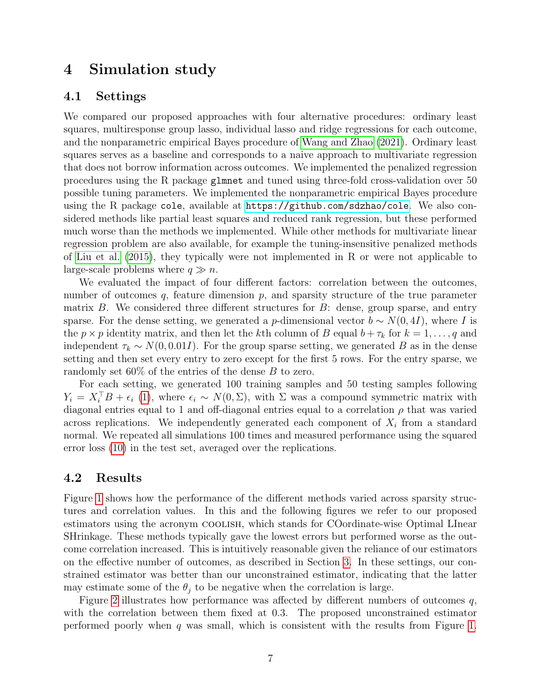### 4 Simulation study

#### <span id="page-6-0"></span>4.1 Settings

We compared our proposed approaches with four alternative procedures: ordinary least squares, multiresponse group lasso, individual lasso and ridge regressions for each outcome, and the nonparametric empirical Bayes procedure of [Wang and Zhao](#page-13-5) [\(2021\)](#page-13-5). Ordinary least squares serves as a baseline and corresponds to a naive approach to multivariate regression that does not borrow information across outcomes. We implemented the penalized regression procedures using the R package glmnet and tuned using three-fold cross-validation over 50 possible tuning parameters. We implemented the nonparametric empirical Bayes procedure using the R package cole, available at <https://github.com/sdzhao/cole>. We also considered methods like partial least squares and reduced rank regression, but these performed much worse than the methods we implemented. While other methods for multivariate linear regression problem are also available, for example the tuning-insensitive penalized methods of [Liu et al.](#page-12-6) [\(2015\)](#page-12-6), they typically were not implemented in R or were not applicable to large-scale problems where  $q \gg n$ .

We evaluated the impact of four different factors: correlation between the outcomes, number of outcomes  $q$ , feature dimension  $p$ , and sparsity structure of the true parameter matrix  $B$ . We considered three different structures for  $B$ : dense, group sparse, and entry sparse. For the dense setting, we generated a p-dimensional vector  $b \sim N(0, 4I)$ , where I is the  $p \times p$  identity matrix, and then let the kth column of B equal  $b + \tau_k$  for  $k = 1, \ldots, q$  and independent  $\tau_k \sim N(0, 0.01I)$ . For the group sparse setting, we generated B as in the dense setting and then set every entry to zero except for the first 5 rows. For the entry sparse, we randomly set 60% of the entries of the dense B to zero.

For each setting, we generated 100 training samples and 50 testing samples following  $Y_i = X_i^{\top} B + \epsilon_i$  [\(1\)](#page-1-0), where  $\epsilon_i \sim N(0, \Sigma)$ , with  $\Sigma$  was a compound symmetric matrix with diagonal entries equal to 1 and off-diagonal entries equal to a correlation  $\rho$  that was varied across replications. We independently generated each component of  $X_i$  from a standard normal. We repeated all simulations 100 times and measured performance using the squared error loss [\(10\)](#page-4-4) in the test set, averaged over the replications.

#### 4.2 Results

Figure [1](#page-7-1) shows how the performance of the different methods varied across sparsity structures and correlation values. In this and the following figures we refer to our proposed estimators using the acronym COOLISH, which stands for COordinate-wise Optimal LInear SHrinkage. These methods typically gave the lowest errors but performed worse as the outcome correlation increased. This is intuitively reasonable given the reliance of our estimators on the effective number of outcomes, as described in Section [3.](#page-4-0) In these settings, our constrained estimator was better than our unconstrained estimator, indicating that the latter may estimate some of the  $\theta_i$  to be negative when the correlation is large.

Figure [2](#page-8-0) illustrates how performance was affected by different numbers of outcomes q, with the correlation between them fixed at 0.3. The proposed unconstrained estimator performed poorly when  $q$  was small, which is consistent with the results from Figure [1.](#page-7-1)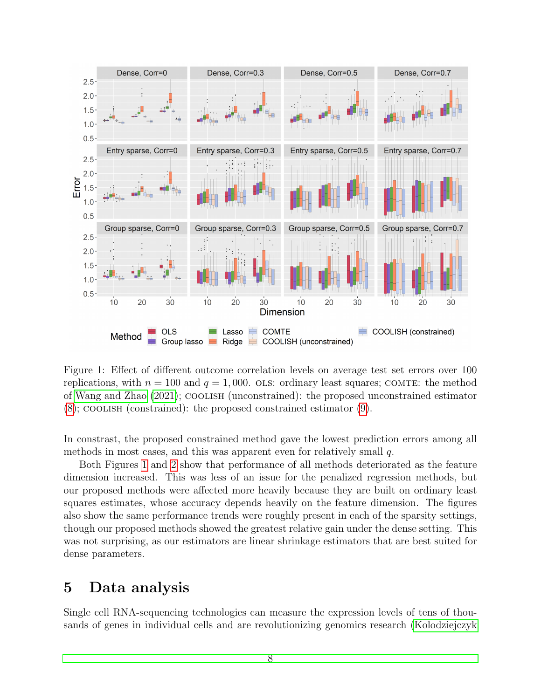

<span id="page-7-1"></span>Figure 1: Effect of different outcome correlation levels on average test set errors over 100 replications, with  $n = 100$  and  $q = 1,000$ . OLS: ordinary least squares; COMTE: the method of [Wang and Zhao](#page-13-5) [\(2021\)](#page-13-5); coolish (unconstrained): the proposed unconstrained estimator [\(8\)](#page-3-2); coolish (constrained): the proposed constrained estimator [\(9\)](#page-4-3).

In constrast, the proposed constrained method gave the lowest prediction errors among all methods in most cases, and this was apparent even for relatively small q.

Both Figures [1](#page-7-1) and [2](#page-8-0) show that performance of all methods deteriorated as the feature dimension increased. This was less of an issue for the penalized regression methods, but our proposed methods were affected more heavily because they are built on ordinary least squares estimates, whose accuracy depends heavily on the feature dimension. The figures also show the same performance trends were roughly present in each of the sparsity settings, though our proposed methods showed the greatest relative gain under the dense setting. This was not surprising, as our estimators are linear shrinkage estimators that are best suited for dense parameters.

### <span id="page-7-0"></span>5 Data analysis

Single cell RNA-sequencing technologies can measure the expression levels of tens of thousands of genes in individual cells and are revolutionizing genomics research [\(Kolodziejczyk](#page-12-7)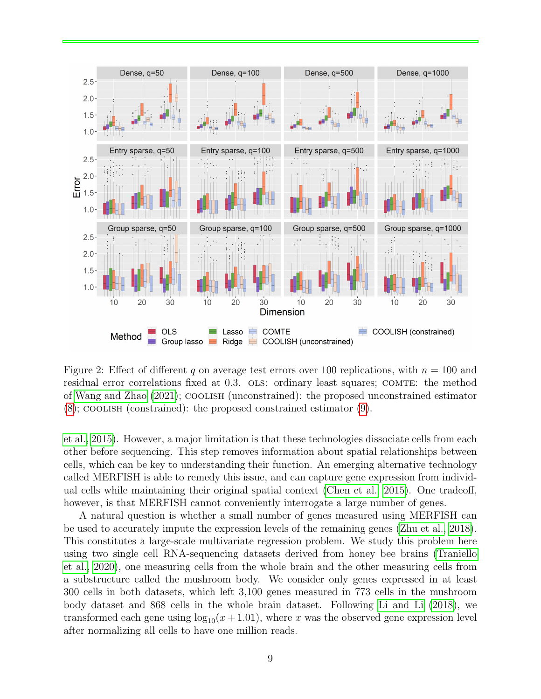

<span id="page-8-0"></span>Figure 2: Effect of different q on average test errors over 100 replications, with  $n = 100$  and residual error correlations fixed at 0.3. OLS: ordinary least squares; COMTE: the method of [Wang and Zhao](#page-13-5) [\(2021\)](#page-13-5); coolish (unconstrained): the proposed unconstrained estimator [\(8\)](#page-3-2); coolish (constrained): the proposed constrained estimator [\(9\)](#page-4-3).

[et al., 2015\)](#page-12-7). However, a major limitation is that these technologies dissociate cells from each other before sequencing. This step removes information about spatial relationships between cells, which can be key to understanding their function. An emerging alternative technology called MERFISH is able to remedy this issue, and can capture gene expression from individual cells while maintaining their original spatial context [\(Chen et al., 2015\)](#page-11-4). One tradeoff, however, is that MERFISH cannot conveniently interrogate a large number of genes.

A natural question is whether a small number of genes measured using MERFISH can be used to accurately impute the expression levels of the remaining genes [\(Zhu et al., 2018\)](#page-13-8). This constitutes a large-scale multivariate regression problem. We study this problem here using two single cell RNA-sequencing datasets derived from honey bee brains [\(Traniello](#page-12-8) [et al., 2020\)](#page-12-8), one measuring cells from the whole brain and the other measuring cells from a substructure called the mushroom body. We consider only genes expressed in at least 300 cells in both datasets, which left 3,100 genes measured in 773 cells in the mushroom body dataset and 868 cells in the whole brain dataset. Following [Li and Li](#page-12-9) [\(2018\)](#page-12-9), we transformed each gene using  $\log_{10}(x + 1.01)$ , where x was the observed gene expression level after normalizing all cells to have one million reads.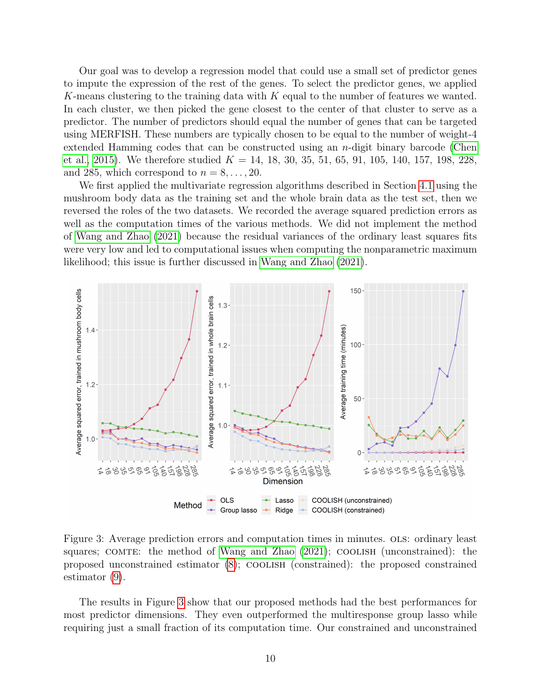Our goal was to develop a regression model that could use a small set of predictor genes to impute the expression of the rest of the genes. To select the predictor genes, we applied K-means clustering to the training data with  $K$  equal to the number of features we wanted. In each cluster, we then picked the gene closest to the center of that cluster to serve as a predictor. The number of predictors should equal the number of genes that can be targeted using MERFISH. These numbers are typically chosen to be equal to the number of weight-4 extended Hamming codes that can be constructed using an n-digit binary barcode [\(Chen](#page-11-4) [et al., 2015\)](#page-11-4). We therefore studied  $K = 14, 18, 30, 35, 51, 65, 91, 105, 140, 157, 198, 228,$ and 285, which correspond to  $n = 8, \ldots, 20$ .

We first applied the multivariate regression algorithms described in Section [4.1](#page-6-0) using the mushroom body data as the training set and the whole brain data as the test set, then we reversed the roles of the two datasets. We recorded the average squared prediction errors as well as the computation times of the various methods. We did not implement the method of [Wang and Zhao](#page-13-5) [\(2021\)](#page-13-5) because the residual variances of the ordinary least squares fits were very low and led to computational issues when computing the nonparametric maximum likelihood; this issue is further discussed in [Wang and Zhao](#page-13-5) [\(2021\)](#page-13-5).



<span id="page-9-0"></span>Figure 3: Average prediction errors and computation times in minutes. OLS: ordinary least squares; COMTE: the method of [Wang and Zhao](#page-13-5)  $(2021)$ ; COOLISH (unconstrained): the proposed unconstrained estimator [\(8\)](#page-3-2); coolish (constrained): the proposed constrained estimator [\(9\)](#page-4-3).

The results in Figure [3](#page-9-0) show that our proposed methods had the best performances for most predictor dimensions. They even outperformed the multiresponse group lasso while requiring just a small fraction of its computation time. Our constrained and unconstrained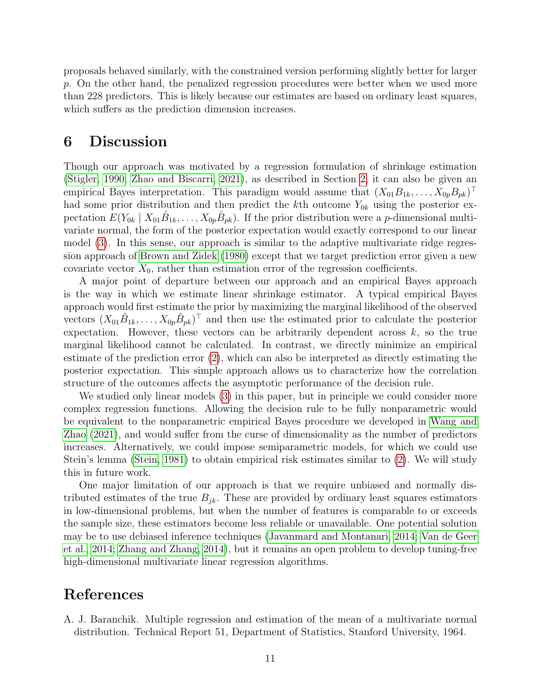proposals behaved similarly, with the constrained version performing slightly better for larger p. On the other hand, the penalized regression procedures were better when we used more than 228 predictors. This is likely because our estimates are based on ordinary least squares, which suffers as the prediction dimension increases.

### 6 Discussion

Though our approach was motivated by a regression formulation of shrinkage estimation [\(Stigler, 1990;](#page-12-5) [Zhao and Biscarri, 2021\)](#page-13-7), as described in Section [2,](#page-2-2) it can also be given an empirical Bayes interpretation. This paradigm would assume that  $(X_{01}B_{1k},...,X_{0p}B_{pk})^{\top}$ had some prior distribution and then predict the kth outcome  $Y_{0k}$  using the posterior expectation  $E(Y_{0k} | X_{01} \hat{B}_{1k}, \dots, X_{0p} \hat{B}_{pk})$ . If the prior distribution were a *p*-dimensional multivariate normal, the form of the posterior expectation would exactly correspond to our linear model [\(3\)](#page-2-1). In this sense, our approach is similar to the adaptive multivariate ridge regression approach of [Brown and Zidek](#page-11-12) [\(1980\)](#page-11-12) except that we target prediction error given a new covariate vector  $X_0$ , rather than estimation error of the regression coefficients.

A major point of departure between our approach and an empirical Bayes approach is the way in which we estimate linear shrinkage estimator. A typical empirical Bayes approach would first estimate the prior by maximizing the marginal likelihood of the observed vectors  $(X_{01}\hat{B}_{1k},\ldots,X_{0p}\hat{B}_{pk})^{\top}$  and then use the estimated prior to calculate the posterior expectation. However, these vectors can be arbitrarily dependent across  $k$ , so the true marginal likelihood cannot be calculated. In contrast, we directly minimize an empirical estimate of the prediction error [\(2\)](#page-2-0), which can also be interpreted as directly estimating the posterior expectation. This simple approach allows us to characterize how the correlation structure of the outcomes affects the asymptotic performance of the decision rule.

We studied only linear models [\(3\)](#page-2-1) in this paper, but in principle we could consider more complex regression functions. Allowing the decision rule to be fully nonparametric would be equivalent to the nonparametric empirical Bayes procedure we developed in [Wang and](#page-13-5) [Zhao](#page-13-5) [\(2021\)](#page-13-5), and would suffer from the curse of dimensionality as the number of predictors increases. Alternatively, we could impose semiparametric models, for which we could use Stein's lemma [\(Stein, 1981\)](#page-12-10) to obtain empirical risk estimates similar to [\(2\)](#page-2-0). We will study this in future work.

One major limitation of our approach is that we require unbiased and normally distributed estimates of the true  $B_{jk}$ . These are provided by ordinary least squares estimators in low-dimensional problems, but when the number of features is comparable to or exceeds the sample size, these estimators become less reliable or unavailable. One potential solution may be to use debiased inference techniques [\(Javanmard and Montanari, 2014;](#page-12-11) [Van de Geer](#page-12-12) [et al., 2014;](#page-12-12) [Zhang and Zhang, 2014\)](#page-13-9), but it remains an open problem to develop tuning-free high-dimensional multivariate linear regression algorithms.

### References

<span id="page-10-0"></span>A. J. Baranchik. Multiple regression and estimation of the mean of a multivariate normal distribution. Technical Report 51, Department of Statistics, Stanford University, 1964.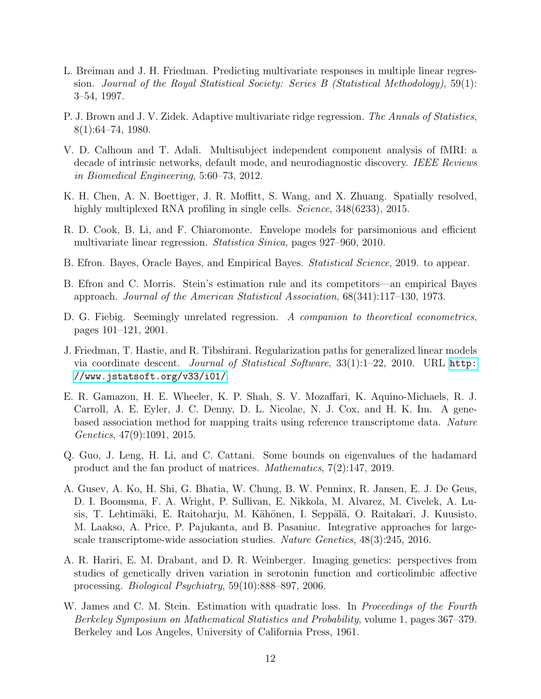- <span id="page-11-6"></span>L. Breiman and J. H. Friedman. Predicting multivariate responses in multiple linear regression. Journal of the Royal Statistical Society: Series B (Statistical Methodology), 59(1): 3–54, 1997.
- <span id="page-11-12"></span>P. J. Brown and J. V. Zidek. Adaptive multivariate ridge regression. The Annals of Statistics, 8(1):64–74, 1980.
- <span id="page-11-1"></span>V. D. Calhoun and T. Adali. Multisubject independent component analysis of fMRI: a decade of intrinsic networks, default mode, and neurodiagnostic discovery. IEEE Reviews in Biomedical Engineering, 5:60–73, 2012.
- <span id="page-11-4"></span>K. H. Chen, A. N. Boettiger, J. R. Moffitt, S. Wang, and X. Zhuang. Spatially resolved, highly multiplexed RNA profiling in single cells. *Science*, 348(6233), 2015.
- <span id="page-11-7"></span>R. D. Cook, B. Li, and F. Chiaromonte. Envelope models for parsimonious and efficient multivariate linear regression. Statistica Sinica, pages 927–960, 2010.
- <span id="page-11-10"></span>B. Efron. Bayes, Oracle Bayes, and Empirical Bayes. Statistical Science, 2019. to appear.
- <span id="page-11-11"></span>B. Efron and C. Morris. Stein's estimation rule and its competitors—an empirical Bayes approach. Journal of the American Statistical Association, 68(341):117–130, 1973.
- <span id="page-11-5"></span>D. G. Fiebig. Seemingly unrelated regression. A companion to theoretical econometrics, pages 101–121, 2001.
- <span id="page-11-8"></span>J. Friedman, T. Hastie, and R. Tibshirani. Regularization paths for generalized linear models via coordinate descent. Journal of Statistical Software, 33(1):1–22, 2010. URL [http:](http://www.jstatsoft.org/v33/i01/) [//www.jstatsoft.org/v33/i01/](http://www.jstatsoft.org/v33/i01/).
- <span id="page-11-2"></span>E. R. Gamazon, H. E. Wheeler, K. P. Shah, S. V. Mozaffari, K. Aquino-Michaels, R. J. Carroll, A. E. Eyler, J. C. Denny, D. L. Nicolae, N. J. Cox, and H. K. Im. A genebased association method for mapping traits using reference transcriptome data. Nature Genetics, 47(9):1091, 2015.
- <span id="page-11-13"></span>Q. Guo, J. Leng, H. Li, and C. Cattani. Some bounds on eigenvalues of the hadamard product and the fan product of matrices. Mathematics, 7(2):147, 2019.
- <span id="page-11-3"></span>A. Gusev, A. Ko, H. Shi, G. Bhatia, W. Chung, B. W. Penninx, R. Jansen, E. J. De Geus, D. I. Boomsma, F. A. Wright, P. Sullivan, E. Nikkola, M. Alvarez, M. Civelek, A. Lusis, T. Lehtimäki, E. Raitoharju, M. Kähönen, I. Seppälä, O. Raitakari, J. Kuusisto, M. Laakso, A. Price, P. Pajukanta, and B. Pasaniuc. Integrative approaches for largescale transcriptome-wide association studies. Nature Genetics, 48(3):245, 2016.
- <span id="page-11-0"></span>A. R. Hariri, E. M. Drabant, and D. R. Weinberger. Imaging genetics: perspectives from studies of genetically driven variation in serotonin function and corticolimbic affective processing. Biological Psychiatry, 59(10):888–897, 2006.
- <span id="page-11-9"></span>W. James and C. M. Stein. Estimation with quadratic loss. In *Proceedings of the Fourth* Berkeley Symposium on Mathematical Statistics and Probability, volume 1, pages 367–379. Berkeley and Los Angeles, University of California Press, 1961.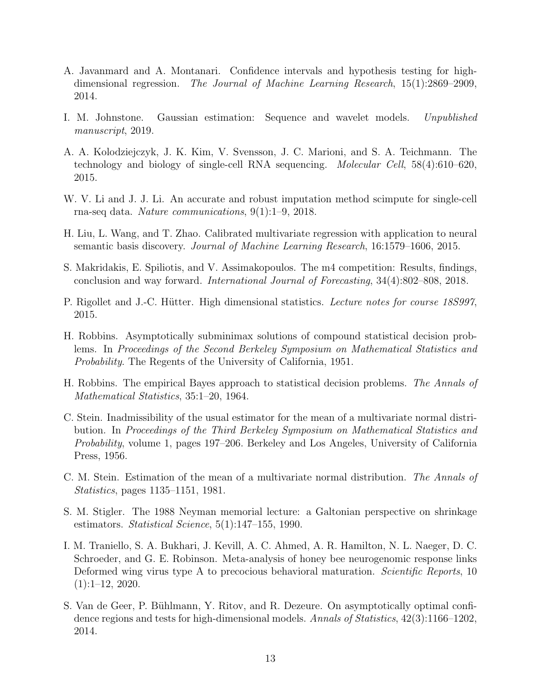- <span id="page-12-11"></span>A. Javanmard and A. Montanari. Confidence intervals and hypothesis testing for highdimensional regression. The Journal of Machine Learning Research, 15(1):2869–2909, 2014.
- <span id="page-12-1"></span>I. M. Johnstone. Gaussian estimation: Sequence and wavelet models. Unpublished manuscript, 2019.
- <span id="page-12-7"></span>A. A. Kolodziejczyk, J. K. Kim, V. Svensson, J. C. Marioni, and S. A. Teichmann. The technology and biology of single-cell RNA sequencing. Molecular Cell, 58(4):610–620, 2015.
- <span id="page-12-9"></span>W. V. Li and J. J. Li. An accurate and robust imputation method scimpute for single-cell rna-seq data. Nature communications, 9(1):1–9, 2018.
- <span id="page-12-6"></span>H. Liu, L. Wang, and T. Zhao. Calibrated multivariate regression with application to neural semantic basis discovery. Journal of Machine Learning Research, 16:1579–1606, 2015.
- <span id="page-12-0"></span>S. Makridakis, E. Spiliotis, and V. Assimakopoulos. The m4 competition: Results, findings, conclusion and way forward. International Journal of Forecasting, 34(4):802–808, 2018.
- <span id="page-12-13"></span>P. Rigollet and J.-C. Hütter. High dimensional statistics. Lecture notes for course 18S997, 2015.
- <span id="page-12-2"></span>H. Robbins. Asymptotically subminimax solutions of compound statistical decision problems. In Proceedings of the Second Berkeley Symposium on Mathematical Statistics and Probability. The Regents of the University of California, 1951.
- <span id="page-12-4"></span>H. Robbins. The empirical Bayes approach to statistical decision problems. The Annals of Mathematical Statistics, 35:1–20, 1964.
- <span id="page-12-3"></span>C. Stein. Inadmissibility of the usual estimator for the mean of a multivariate normal distribution. In Proceedings of the Third Berkeley Symposium on Mathematical Statistics and Probability, volume 1, pages 197–206. Berkeley and Los Angeles, University of California Press, 1956.
- <span id="page-12-10"></span>C. M. Stein. Estimation of the mean of a multivariate normal distribution. The Annals of Statistics, pages 1135–1151, 1981.
- <span id="page-12-5"></span>S. M. Stigler. The 1988 Neyman memorial lecture: a Galtonian perspective on shrinkage estimators. Statistical Science, 5(1):147–155, 1990.
- <span id="page-12-8"></span>I. M. Traniello, S. A. Bukhari, J. Kevill, A. C. Ahmed, A. R. Hamilton, N. L. Naeger, D. C. Schroeder, and G. E. Robinson. Meta-analysis of honey bee neurogenomic response links Deformed wing virus type A to precocious behavioral maturation. *Scientific Reports*, 10 (1):1–12, 2020.
- <span id="page-12-12"></span>S. Van de Geer, P. Bühlmann, Y. Ritov, and R. Dezeure. On asymptotically optimal confidence regions and tests for high-dimensional models. Annals of Statistics, 42(3):1166–1202, 2014.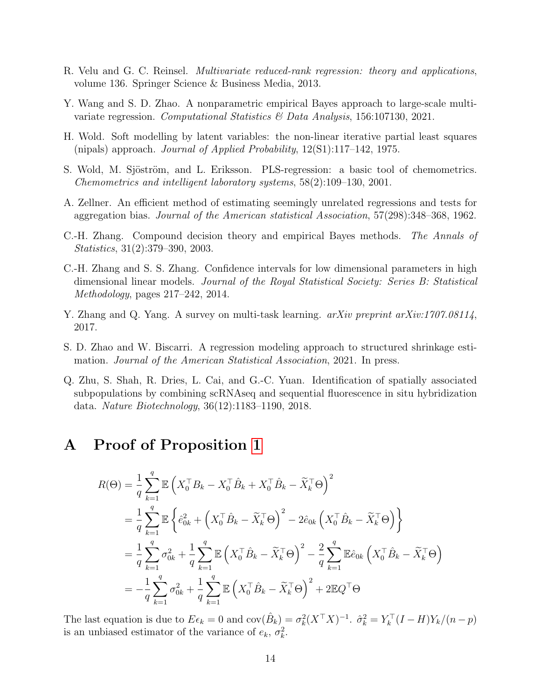- <span id="page-13-4"></span>R. Velu and G. C. Reinsel. Multivariate reduced-rank regression: theory and applications, volume 136. Springer Science & Business Media, 2013.
- <span id="page-13-5"></span>Y. Wang and S. D. Zhao. A nonparametric empirical Bayes approach to large-scale multivariate regression. Computational Statistics & Data Analysis, 156:107130, 2021.
- <span id="page-13-2"></span>H. Wold. Soft modelling by latent variables: the non-linear iterative partial least squares (nipals) approach. Journal of Applied Probability, 12(S1):117–142, 1975.
- <span id="page-13-3"></span>S. Wold, M. Sjöström, and L. Eriksson. PLS-regression: a basic tool of chemometrics. Chemometrics and intelligent laboratory systems, 58(2):109–130, 2001.
- <span id="page-13-1"></span>A. Zellner. An efficient method of estimating seemingly unrelated regressions and tests for aggregation bias. Journal of the American statistical Association, 57(298):348–368, 1962.
- <span id="page-13-6"></span>C.-H. Zhang. Compound decision theory and empirical Bayes methods. The Annals of Statistics, 31(2):379–390, 2003.
- <span id="page-13-9"></span>C.-H. Zhang and S. S. Zhang. Confidence intervals for low dimensional parameters in high dimensional linear models. Journal of the Royal Statistical Society: Series B: Statistical Methodology, pages 217–242, 2014.
- <span id="page-13-0"></span>Y. Zhang and Q. Yang. A survey on multi-task learning. *arXiv preprint arXiv:1707.08114*, 2017.
- <span id="page-13-7"></span>S. D. Zhao and W. Biscarri. A regression modeling approach to structured shrinkage estimation. Journal of the American Statistical Association, 2021. In press.
- <span id="page-13-8"></span>Q. Zhu, S. Shah, R. Dries, L. Cai, and G.-C. Yuan. Identification of spatially associated subpopulations by combining scRNAseq and sequential fluorescence in situ hybridization data. Nature Biotechnology, 36(12):1183–1190, 2018.

### A Proof of Proposition [1](#page-3-3)

$$
R(\Theta) = \frac{1}{q} \sum_{k=1}^{q} \mathbb{E} \left( X_0^{\top} B_k - X_0^{\top} \hat{B}_k + X_0^{\top} \hat{B}_k - \widetilde{X}_k^{\top} \Theta \right)^2
$$
  
\n
$$
= \frac{1}{q} \sum_{k=1}^{q} \mathbb{E} \left\{ \hat{e}_{0k}^2 + \left( X_0^{\top} \hat{B}_k - \widetilde{X}_k^{\top} \Theta \right)^2 - 2 \hat{e}_{0k} \left( X_0^{\top} \hat{B}_k - \widetilde{X}_k^{\top} \Theta \right) \right\}
$$
  
\n
$$
= \frac{1}{q} \sum_{k=1}^{q} \sigma_{0k}^2 + \frac{1}{q} \sum_{k=1}^{q} \mathbb{E} \left( X_0^{\top} \hat{B}_k - \widetilde{X}_k^{\top} \Theta \right)^2 - \frac{2}{q} \sum_{k=1}^{q} \mathbb{E} \hat{e}_{0k} \left( X_0^{\top} \hat{B}_k - \widetilde{X}_k^{\top} \Theta \right)
$$
  
\n
$$
= -\frac{1}{q} \sum_{k=1}^{q} \sigma_{0k}^2 + \frac{1}{q} \sum_{k=1}^{q} \mathbb{E} \left( X_0^{\top} \hat{B}_k - \widetilde{X}_k^{\top} \Theta \right)^2 + 2 \mathbb{E} Q^{\top} \Theta
$$

The last equation is due to  $E \epsilon_k = 0$  and  $cov(\hat{B}_k) = \sigma_k^2 (X^{\top} X)^{-1}$ .  $\hat{\sigma}_k^2 = Y_k^{\top} (I - H) Y_k / (n - p)$ is an unbiased estimator of the variance of  $e_k$ ,  $\sigma_k^2$ .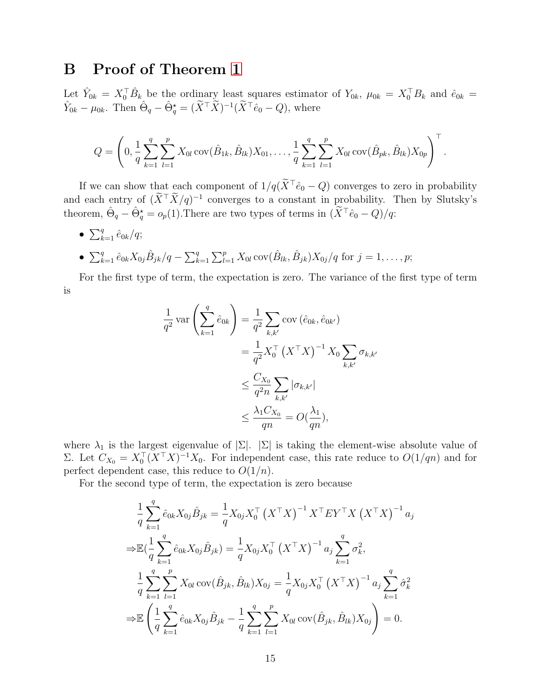### B Proof of Theorem [1](#page-4-2)

Let  $\hat{Y}_{0k} = X_0^{\top} \hat{B}_k$  be the ordinary least squares estimator of  $Y_{0k}$ ,  $\mu_{0k} = X_0^{\top} B_k$  and  $\hat{e}_{0k} =$  $\hat{Y}_{0k} - \mu_{0k}$ . Then  $\hat{\Theta}_q - \hat{\Theta}_q^* = (\tilde{X}^\top \tilde{X})^{-1} (\tilde{X}^\top \hat{e}_0 - Q)$ , where

$$
Q = \left(0, \frac{1}{q} \sum_{k=1}^{q} \sum_{l=1}^{p} X_{0l} \operatorname{cov}(\hat{B}_{1k}, \hat{B}_{lk}) X_{01}, \dots, \frac{1}{q} \sum_{k=1}^{q} \sum_{l=1}^{p} X_{0l} \operatorname{cov}(\hat{B}_{pk}, \hat{B}_{lk}) X_{0p}\right)^{\top}.
$$

If we can show that each component of  $1/q(\tilde{X}^{\top}\hat{e}_0 - Q)$  converges to zero in probability and each entry of  $(X^{\top}X/q)^{-1}$  converges to a constant in probability. Then by Slutsky's theorem,  $\hat{\Theta}_q - \hat{\Theta}_q^* = o_p(1)$ . There are two types of terms in  $(\tilde{X}^\top \hat{e}_0 - Q)/q$ :

•  $\sum_{k=1}^{q} \hat{e}_{0k}/q;$ 

• 
$$
\sum_{k=1}^{q} \hat{e}_{0k} X_{0j} \hat{B}_{jk} / q - \sum_{k=1}^{q} \sum_{l=1}^{p} X_{0l} \operatorname{cov}(\hat{B}_{lk}, \hat{B}_{jk}) X_{0j} / q
$$
 for  $j = 1, ..., p$ ;

For the first type of term, the expectation is zero. The variance of the first type of term is

$$
\frac{1}{q^2} \operatorname{var}\left(\sum_{k=1}^q \hat{e}_{0k}\right) = \frac{1}{q^2} \sum_{k,k'} \operatorname{cov}\left(\hat{e}_{0k}, \hat{e}_{0k'}\right)
$$

$$
= \frac{1}{q^2} X_0^\top \left(X^\top X\right)^{-1} X_0 \sum_{k,k'} \sigma_{k,k'}
$$

$$
\leq \frac{C_{X_0}}{q^2 n} \sum_{k,k'} |\sigma_{k,k'}|
$$

$$
\leq \frac{\lambda_1 C_{X_0}}{qn} = O\left(\frac{\lambda_1}{qn}\right),
$$

where  $\lambda_1$  is the largest eigenvalue of  $|\Sigma|$ .  $|\Sigma|$  is taking the element-wise absolute value of Σ. Let  $C_{X_0} = X_0^{\top} (X^{\top} X)^{-1} X_0$ . For independent case, this rate reduce to  $O(1/qn)$  and for perfect dependent case, this reduce to  $O(1/n)$ .

For the second type of term, the expectation is zero because

$$
\frac{1}{q} \sum_{k=1}^{q} \hat{e}_{0k} X_{0j} \hat{B}_{jk} = \frac{1}{q} X_{0j} X_{0}^{\top} (X^{\top} X)^{-1} X^{\top} EY^{\top} X (X^{\top} X)^{-1} a_{j}
$$
\n
$$
\Rightarrow \mathbb{E} \left( \frac{1}{q} \sum_{k=1}^{q} \hat{e}_{0k} X_{0j} \hat{B}_{jk} \right) = \frac{1}{q} X_{0j} X_{0}^{\top} (X^{\top} X)^{-1} a_{j} \sum_{k=1}^{q} \sigma_{k}^{2},
$$
\n
$$
\frac{1}{q} \sum_{k=1}^{q} \sum_{l=1}^{p} X_{0l} \operatorname{cov}(\hat{B}_{jk}, \hat{B}_{lk}) X_{0j} = \frac{1}{q} X_{0j} X_{0}^{\top} (X^{\top} X)^{-1} a_{j} \sum_{k=1}^{q} \hat{\sigma}_{k}^{2}
$$
\n
$$
\Rightarrow \mathbb{E} \left( \frac{1}{q} \sum_{k=1}^{q} \hat{e}_{0k} X_{0j} \hat{B}_{jk} - \frac{1}{q} \sum_{k=1}^{q} \sum_{l=1}^{p} X_{0l} \operatorname{cov}(\hat{B}_{jk}, \hat{B}_{lk}) X_{0j} \right) = 0.
$$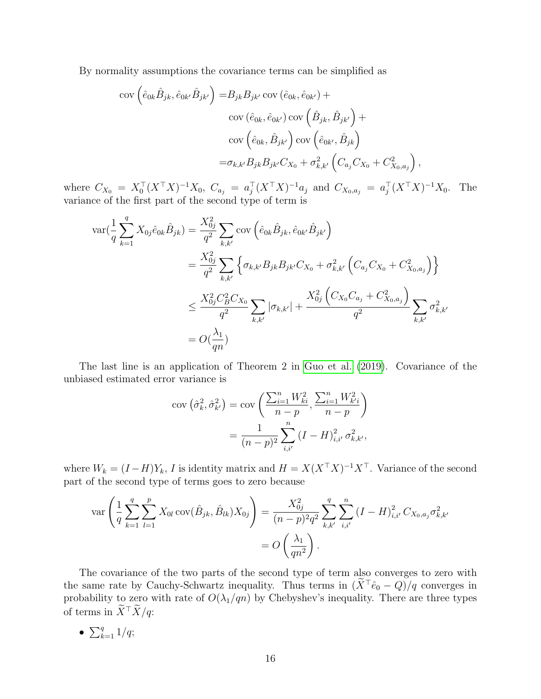By normality assumptions the covariance terms can be simplified as

$$
\begin{split} \text{cov}\left(\hat{e}_{0k}\hat{B}_{jk},\hat{e}_{0k'}\hat{B}_{jk'}\right) =& B_{jk}B_{jk'}\text{cov}\left(\hat{e}_{0k},\hat{e}_{0k'}\right) + \\ & \text{cov}\left(\hat{e}_{0k},\hat{e}_{0k'}\right)\text{cov}\left(\hat{B}_{jk},\hat{B}_{jk'}\right) + \\ & \text{cov}\left(\hat{e}_{0k},\hat{B}_{jk'}\right)\text{cov}\left(\hat{e}_{0k'},\hat{B}_{jk}\right) \\ =& \sigma_{k,k'}B_{jk}B_{jk'}C_{X_0} + \sigma_{k,k'}^2\left(C_{a_j}C_{X_0} + C_{X_0,a_j}^2\right), \end{split}
$$

where  $C_{X_0} = X_0^{\top} (X^{\top} X)^{-1} X_0$ ,  $C_{a_j} = a_j^{\top} (X^{\top} X)^{-1} a_j$  and  $C_{X_0, a_j} = a_j^{\top} (X^{\top} X)^{-1} X_0$ . The variance of the first part of the second type of term is

$$
\begin{split} \text{var}(\frac{1}{q}\sum_{k=1}^{q}X_{0j}\hat{e}_{0k}\hat{B}_{jk}) &= \frac{X_{0j}^{2}}{q^{2}}\sum_{k,k'}\text{cov}\left(\hat{e}_{0k}\hat{B}_{jk},\hat{e}_{0k'}\hat{B}_{jk'}\right) \\ &= \frac{X_{0j}^{2}}{q^{2}}\sum_{k,k'}\left\{\sigma_{k,k'}B_{jk}B_{jk'}C_{X_{0}} + \sigma_{k,k'}^{2}\left(C_{a_{j}}C_{X_{0}} + C_{X_{0},a_{j}}^{2}\right)\right\} \\ &\leq \frac{X_{0j}^{2}C_{B}^{2}C_{X_{0}}}{q^{2}}\sum_{k,k'}|\sigma_{k,k'}| + \frac{X_{0j}^{2}\left(C_{X_{0}}C_{a_{j}} + C_{X_{0},a_{j}}^{2}\right)}{q^{2}}\sum_{k,k'}\sigma_{k,k'}^{2} \\ &= O(\frac{\lambda_{1}}{qn}) \end{split}
$$

The last line is an application of Theorem 2 in [Guo et al.](#page-11-13) [\(2019\)](#page-11-13). Covariance of the unbiased estimated error variance is

$$
\begin{aligned} \text{cov}\left(\hat{\sigma}_{k}^{2},\hat{\sigma}_{k'}^{2}\right) &= \text{cov}\left(\frac{\sum_{i=1}^{n}W_{ki}^{2}}{n-p},\frac{\sum_{i=1}^{n}W_{k'i}^{2}}{n-p}\right) \\ &= \frac{1}{(n-p)^{2}}\sum_{i,i'}^{n}\left(I-H\right)_{i,i'}^{2}\sigma_{k,k'}^{2}, \end{aligned}
$$

where  $W_k = (I - H)Y_k$ , I is identity matrix and  $H = X(X^{\top}X)^{-1}X^{\top}$ . Variance of the second part of the second type of terms goes to zero because

$$
\operatorname{var}\left(\frac{1}{q}\sum_{k=1}^{q}\sum_{l=1}^{p}X_{0l}\operatorname{cov}(\hat{B}_{jk},\hat{B}_{lk})X_{0j}\right) = \frac{X_{0j}^{2}}{(n-p)^{2}q^{2}}\sum_{k,k'}^{q}\sum_{i,i'}^{n}(I-H)_{i,i'}^{2}C_{X_{0},a_{j}}\sigma_{k,k'}^{2}
$$

$$
= O\left(\frac{\lambda_{1}}{qn^{2}}\right).
$$

The covariance of the two parts of the second type of term also converges to zero with the same rate by Cauchy-Schwartz inequality. Thus terms in  $(\tilde{X}^{\top}\hat{e}_0 - Q)/q$  converges in probability to zero with rate of  $O(\lambda_1/qn)$  by Chebyshev's inequality. There are three types of terms in  $\widetilde{X}^{\top} \widetilde{X}/q$ :

•  $\sum_{k=1}^{q} 1/q;$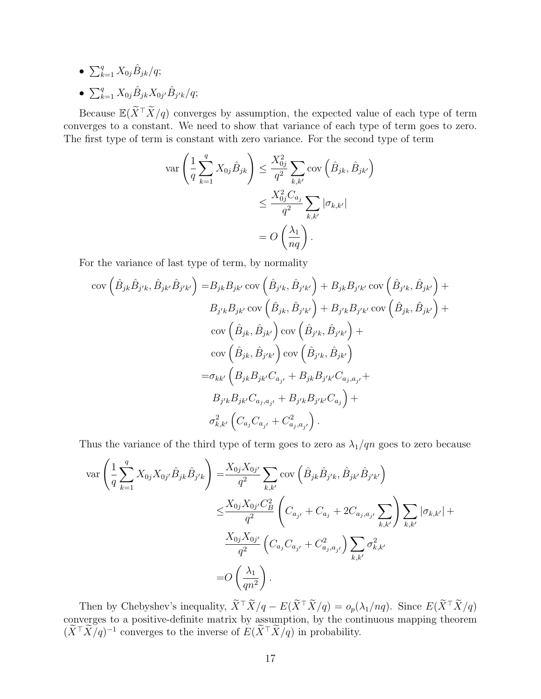- $\sum_{k=1}^{q} X_{0j} \hat{B}_{jk}/q;$
- $\sum_{k=1}^{q} X_{0j} \hat{B}_{jk} X_{0j'} \hat{B}_{j'k} / q;$

Because  $\mathbb{E}(\widetilde{X}^\top \widetilde{X}/q)$  converges by assumption, the expected value of each type of term converges to a constant. We need to show that variance of each type of term goes to zero. The first type of term is constant with zero variance. For the second type of term

$$
\operatorname{var}\left(\frac{1}{q}\sum_{k=1}^{q}X_{0j}\hat{B}_{jk}\right) \leq \frac{X_{0j}^2}{q^2}\sum_{k,k'}\operatorname{cov}\left(\hat{B}_{jk},\hat{B}_{jk'}\right)
$$

$$
\leq \frac{X_{0j}^2C_{a_j}}{q^2}\sum_{k,k'}|\sigma_{k,k'}|
$$

$$
= O\left(\frac{\lambda_1}{nq}\right).
$$

For the variance of last type of term, by normality

$$
\begin{split}\n\text{cov}\left(\hat{B}_{jk}\hat{B}_{j'k},\hat{B}_{jk'}\hat{B}_{j'k'}\right) &= &B_{jk}B_{jk'}\text{cov}\left(\hat{B}_{j'k},\hat{B}_{j'k'}\right) + B_{jk}B_{j'k'}\text{cov}\left(\hat{B}_{j'k},\hat{B}_{jk'}\right) + \\
&B_{j'k}B_{jk'}\text{cov}\left(\hat{B}_{jk},\hat{B}_{j'k'}\right) + B_{j'k}B_{j'k'}\text{cov}\left(\hat{B}_{jk},\hat{B}_{jk'}\right) + \\
&\text{cov}\left(\hat{B}_{jk},\hat{B}_{jk'}\right)\text{cov}\left(\hat{B}_{j'k},\hat{B}_{j'k'}\right) + \\
&\text{cov}\left(\hat{B}_{jk},\hat{B}_{j'k'}\right)\text{cov}\left(\hat{B}_{j'k},\hat{B}_{jk'}\right) \\
&= &\sigma_{kk'}\left(B_{jk}B_{jk'}C_{a_{j'}} + B_{jk}B_{j'k'}C_{a_{j},a_{j'}} + \\
&B_{j'k}B_{jk'}C_{a_{j},a_{j'}} + B_{j'k}B_{j'k'}C_{a_{j}}\right) + \\
&\sigma_{k,k'}^2\left(C_{a_j}C_{a_{j'}} + C_{a_j,a_{j'}}^2\right).\n\end{split}
$$

Thus the variance of the third type of term goes to zero as  $\lambda_1/qn$  goes to zero because

$$
\begin{split} \text{var}\left(\frac{1}{q}\sum_{k=1}^{q}X_{0j}X_{0j'}\hat{B}_{jk}\hat{B}_{j'k}\right) &= \frac{X_{0j}X_{0j'}}{q^2}\sum_{k,k'}\text{cov}\left(\hat{B}_{jk}\hat{B}_{j'k},\hat{B}_{jk'}\hat{B}_{j'k'}\right) \\ &\leq \frac{X_{0j}X_{0j'}C_B^2}{q^2}\left(C_{a_{j'}}+C_{a_j}+2C_{a_j,a_{j'}}\sum_{k,k'}\right)\sum_{k,k'}|\sigma_{k,k'}|+ \\ &\frac{X_{0j}X_{0j'}}{q^2}\left(C_{a_j}C_{a_{j'}}+C_{a_j,a_{j'}}^2\right)\sum_{k,k'}\sigma_{k,k'}^2 \\ &=O\left(\frac{\lambda_1}{qn^2}\right). \end{split}
$$

Then by Chebyshev's inequality,  $\widetilde{X}^{\top} \widetilde{X}/q - E(\widetilde{X}^{\top} \widetilde{X}/q) = o_p(\lambda_1/nq)$ . Since  $E(\widetilde{X}^{\top} \widetilde{X}/q)$ converges to a positive-definite matrix by assumption, by the continuous mapping theorem  $(\tilde{X}^{\top} \tilde{X}/q)^{-1}$  converges to the inverse of  $E(\tilde{X}^{\top} \tilde{X}/q)$  in probability.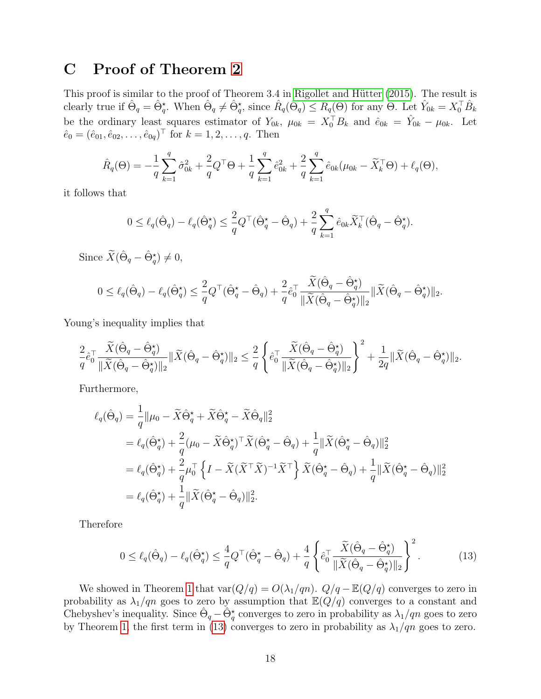# C Proof of Theorem [2](#page-5-0)

This proof is similar to the proof of Theorem 3.4 in Rigollet and Hütter [\(2015\)](#page-12-13). The result is clearly true if  $\hat{\Theta}_q = \hat{\Theta}_q^*$ . When  $\hat{\Theta}_q \neq \hat{\Theta}_q^*$ , since  $\hat{R}_q(\hat{\Theta}_q) \leq \hat{R}_q(\Theta)$  for any  $\Theta$ . Let  $\hat{Y}_{0k} = X_0^{\top} \hat{B}_k$ be the ordinary least squares estimator of  $Y_{0k}$ ,  $\mu_{0k} = X_0^\top B_k$  and  $\hat{e}_{0k} = \hat{Y}_{0k} - \mu_{0k}$ . Let  $\hat{e}_0 = (\hat{e}_{01}, \hat{e}_{02}, \dots, \hat{e}_{0q})^\top$  for  $k = 1, 2, \dots, q$ . Then

$$
\hat{R}_q(\Theta) = -\frac{1}{q} \sum_{k=1}^q \hat{\sigma}_{0k}^2 + \frac{2}{q} Q^{\top} \Theta + \frac{1}{q} \sum_{k=1}^q \hat{e}_{0k}^2 + \frac{2}{q} \sum_{k=1}^q \hat{e}_{0k} (\mu_{0k} - \tilde{X}_k^{\top} \Theta) + \ell_q(\Theta),
$$

it follows that

$$
0\leq \ell_q(\hat{\Theta}_q)-\ell_q(\hat{\Theta}_q^{\star})\leq \frac{2}{q}Q^{\top}(\hat{\Theta}_q^{\star}-\hat{\Theta}_q)+\frac{2}{q}\sum_{k=1}^q\hat{e}_{0k}\tilde{X}_k^{\top}(\hat{\Theta}_q-\hat{\Theta}_q^{\star}).
$$

Since  $\widetilde{X}(\hat{\Theta}_q - \hat{\Theta}_q^{\star}) \neq 0$ ,

$$
0 \leq \ell_q(\hat{\Theta}_q) - \ell_q(\hat{\Theta}_q^{\star}) \leq \frac{2}{q} Q^{\top}(\hat{\Theta}_q^{\star} - \hat{\Theta}_q) + \frac{2}{q} \hat{e}_0^{\top} \frac{\widetilde{X}(\hat{\Theta}_q - \hat{\Theta}_q^{\star})}{\|\widetilde{X}(\hat{\Theta}_q - \hat{\Theta}_q^{\star})\|_2} \|\widetilde{X}(\hat{\Theta}_q - \hat{\Theta}_q^{\star})\|_2.
$$

Young's inequality implies that

$$
\frac{2}{q} \hat{e}_0^\top \frac{\widetilde{X}(\hat{\Theta}_q - \hat{\Theta}_q^\star)}{\|\widetilde{X}(\hat{\Theta}_q - \hat{\Theta}_q^\star)\|_2} \|\widetilde{X}(\hat{\Theta}_q - \hat{\Theta}_q^\star)\|_2 \leq \frac{2}{q} \left\{ \hat{e}_0^\top \frac{\widetilde{X}(\hat{\Theta}_q - \hat{\Theta}_q^\star)}{\|\widetilde{X}(\hat{\Theta}_q - \hat{\Theta}_q^\star)\|_2} \right\}^2 + \frac{1}{2q} \|\widetilde{X}(\hat{\Theta}_q - \hat{\Theta}_q^\star)\|_2.
$$

Furthermore,

$$
\ell_q(\hat{\Theta}_q) = \frac{1}{q} ||\mu_0 - \tilde{X}\hat{\Theta}_q^{\star} + \tilde{X}\hat{\Theta}_q^{\star} - \tilde{X}\hat{\Theta}_q||_2^2
$$
  
\n
$$
= \ell_q(\hat{\Theta}_q^{\star}) + \frac{2}{q}(\mu_0 - \tilde{X}\hat{\Theta}_q^{\star})^{\top}\tilde{X}(\hat{\Theta}_q^{\star} - \hat{\Theta}_q) + \frac{1}{q} ||\tilde{X}(\hat{\Theta}_q^{\star} - \hat{\Theta}_q)||_2^2
$$
  
\n
$$
= \ell_q(\hat{\Theta}_q^{\star}) + \frac{2}{q}\mu_0^{\top}\left\{I - \tilde{X}(\tilde{X}^{\top}\tilde{X})^{-1}\tilde{X}^{\top}\right\}\tilde{X}(\hat{\Theta}_q^{\star} - \hat{\Theta}_q) + \frac{1}{q} ||\tilde{X}(\hat{\Theta}_q^{\star} - \hat{\Theta}_q)||_2^2
$$
  
\n
$$
= \ell_q(\hat{\Theta}_q^{\star}) + \frac{1}{q} ||\tilde{X}(\hat{\Theta}_q^{\star} - \hat{\Theta}_q)||_2^2.
$$

Therefore

<span id="page-17-0"></span>
$$
0 \le \ell_q(\hat{\Theta}_q) - \ell_q(\hat{\Theta}_q^{\star}) \le \frac{4}{q} Q^{\top}(\hat{\Theta}_q^{\star} - \hat{\Theta}_q) + \frac{4}{q} \left\{ \hat{e}_0^{\top} \frac{\widetilde{X}(\hat{\Theta}_q - \hat{\Theta}_q^{\star})}{\|\widetilde{X}(\hat{\Theta}_q - \hat{\Theta}_q^{\star})\|_2} \right\}^2.
$$
 (13)

We showed in Theorem [1](#page-4-2) that  $\text{var}(Q/q) = O(\lambda_1/qn)$ .  $Q/q - \mathbb{E}(Q/q)$  converges to zero in probability as  $\lambda_1/qn$  goes to zero by assumption that  $\mathbb{E}(Q/q)$  converges to a constant and Chebyshev's inequality. Since  $\hat{\Theta}_q - \hat{\Theta}_q^*$  converges to zero in probability as  $\lambda_1/qn$  goes to zero by Theorem [1,](#page-4-2) the first term in [\(13\)](#page-17-0) converges to zero in probability as  $\lambda_1/qn$  goes to zero.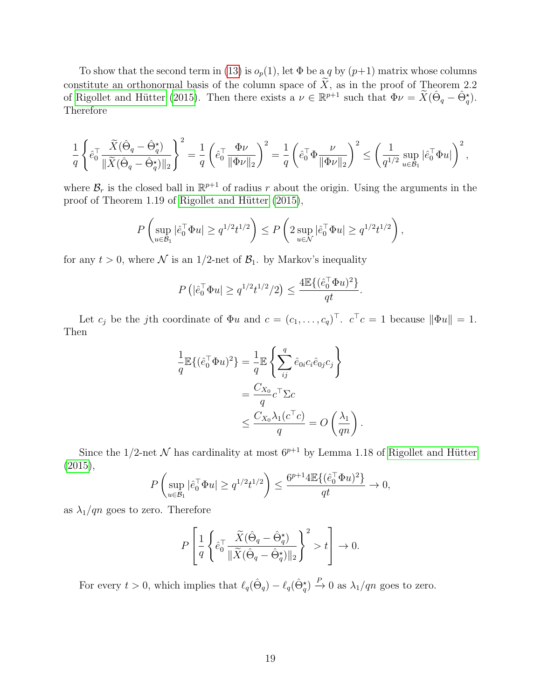To show that the second term in [\(13\)](#page-17-0) is  $o_p(1)$ , let  $\Phi$  be a q by  $(p+1)$  matrix whose columns constitute an orthonormal basis of the column space of  $\widetilde{X}$ , as in the proof of Theorem 2.2 of Rigollet and Hütter [\(2015\)](#page-12-13). Then there exists a  $\nu \in \mathbb{R}^{p+1}$  such that  $\Phi \nu = \tilde{X}(\hat{\Theta}_q - \hat{\Theta}_q^*)$ . Therefore

$$
\frac{1}{q} \left\{ \hat{e}_{0}^{\top} \frac{\widetilde{X}(\hat{\Theta}_{q} - \hat{\Theta}_{q}^{\star})}{\|\widetilde{X}(\hat{\Theta}_{q} - \hat{\Theta}_{q}^{\star})\|_{2}} \right\}^{2} = \frac{1}{q} \left( \hat{e}_{0}^{\top} \frac{\Phi \nu}{\|\Phi \nu\|_{2}} \right)^{2} = \frac{1}{q} \left( \hat{e}_{0}^{\top} \Phi \frac{\nu}{\|\Phi \nu\|_{2}} \right)^{2} \leq \left( \frac{1}{q^{1/2}} \sup_{u \in \mathcal{B}_{1}} |\hat{e}_{0}^{\top} \Phi u| \right)^{2},
$$

where  $\mathcal{B}_r$  is the closed ball in  $\mathbb{R}^{p+1}$  of radius r about the origin. Using the arguments in the proof of Theorem 1.19 of Rigollet and Hütter [\(2015\)](#page-12-13),

$$
P\left(\sup_{u\in\mathcal{B}_1}|\hat{e}_0^\top\Phi u|\geq q^{1/2}t^{1/2}\right)\leq P\left(2\sup_{u\in\mathcal{N}}|\hat{e}_0^\top\Phi u|\geq q^{1/2}t^{1/2}\right),
$$

for any  $t > 0$ , where N is an 1/2-net of  $\mathcal{B}_1$ . by Markov's inequality

$$
P\left(|\hat{\boldsymbol{e}}_0^\top \Phi \boldsymbol{u}| \geq q^{1/2} t^{1/2}/2\right) \leq \frac{4 \mathbb{E}\{(\hat{\boldsymbol{e}}_0^\top \Phi \boldsymbol{u})^2\}}{qt}
$$

.

.

Let  $c_j$  be the jth coordinate of  $\Phi u$  and  $c = (c_1, \ldots, c_q)^\top$ .  $c^\top c = 1$  because  $\|\Phi u\| = 1$ . Then

$$
\frac{1}{q}\mathbb{E}\{(\hat{e}_0^\top \Phi u)^2\} = \frac{1}{q}\mathbb{E}\left\{\sum_{ij}^q \hat{e}_{0i}c_i\hat{e}_{0j}c_j\right\}
$$

$$
= \frac{C_{X_0}}{q}c^\top \Sigma c
$$

$$
\leq \frac{C_{X_0}\lambda_1(c^\top c)}{q} = O\left(\frac{\lambda_1}{qn}\right)
$$

Since the 1/2-net N has cardinality at most  $6^{p+1}$  by Lemma 1.18 of Rigollet and Hütter  $(2015),$  $(2015),$ 

$$
P\left(\sup_{u\in\mathcal{B}_1}|\hat{e}_0^\top\Phi u|\geq q^{1/2}t^{1/2}\right)\leq \frac{6^{p+1}4\mathbb{E}\{(\hat{e}_0^\top\Phi u)^2\}}{qt}\to 0,
$$

as  $\lambda_1/qn$  goes to zero. Therefore

$$
P\left[\frac{1}{q}\left\{\hat{e}_{0}^{\top}\frac{\widetilde{X}(\hat{\Theta}_{q}-\hat{\Theta}_{q}^{\star})}{\|\widetilde{X}(\hat{\Theta}_{q}-\hat{\Theta}_{q}^{\star})\|_{2}}\right\}^{2}>t\right]\to 0.
$$

For every  $t > 0$ , which implies that  $\ell_q(\hat{\Theta}_q) - \ell_q(\hat{\Theta}_q^*) \stackrel{P}{\to} 0$  as  $\lambda_1/qn$  goes to zero.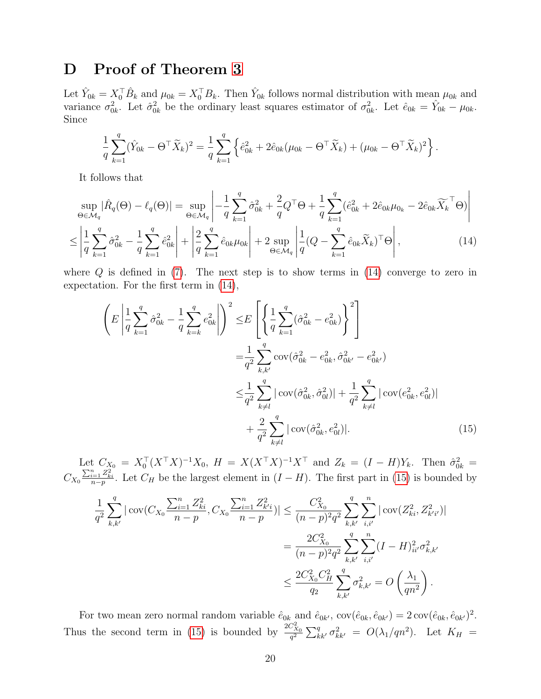### D Proof of Theorem [3](#page-5-1)

Let  $\hat{Y}_{0k} = X_0^{\top} \hat{B}_k$  and  $\mu_{0k} = X_0^{\top} B_k$ . Then  $\hat{Y}_{0k}$  follows normal distribution with mean  $\mu_{0k}$  and variance  $\sigma_{0k}^2$ . Let  $\hat{\sigma}_{0k}^2$  be the ordinary least squares estimator of  $\sigma_{0k}^2$ . Let  $\hat{e}_{0k} = \hat{Y}_{0k} - \mu_{0k}$ . Since

$$
\frac{1}{q}\sum_{k=1}^{q}(\hat{Y}_{0k} - \Theta^{\top}\widetilde{X}_k)^2 = \frac{1}{q}\sum_{k=1}^{q} \left\{\hat{e}_{0k}^2 + 2\hat{e}_{0k}(\mu_{0k} - \Theta^{\top}\widetilde{X}_k) + (\mu_{0k} - \Theta^{\top}\widetilde{X}_k)^2\right\}.
$$

It follows that

$$
\sup_{\Theta \in \mathcal{M}_q} |\hat{R}_q(\Theta) - \ell_q(\Theta)| = \sup_{\Theta \in \mathcal{M}_q} \left| -\frac{1}{q} \sum_{k=1}^q \hat{\sigma}_{0k}^2 + \frac{2}{q} Q^\top \Theta + \frac{1}{q} \sum_{k=1}^q (\hat{e}_{0k}^2 + 2\hat{e}_{0k} \mu_{0k} - 2\hat{e}_{0k} \widetilde{X}_k^\top \Theta) \right|
$$
  

$$
\leq \left| \frac{1}{q} \sum_{k=1}^q \hat{\sigma}_{0k}^2 - \frac{1}{q} \sum_{k=1}^q \hat{e}_{0k}^2 \right| + \left| \frac{2}{q} \sum_{k=1}^q \hat{e}_{0k} \mu_{0k} \right| + 2 \sup_{\Theta \in \mathcal{M}_q} \left| \frac{1}{q} (Q - \sum_{k=1}^q \hat{e}_{0k} \widetilde{X}_k)^\top \Theta \right|,
$$
(14)

where  $Q$  is defined in [\(7\)](#page-3-4). The next step is to show terms in [\(14\)](#page-19-0) converge to zero in expectation. For the first term in [\(14\)](#page-19-0),

<span id="page-19-0"></span>
$$
\left(E\left|\frac{1}{q}\sum_{k=1}^{q}\hat{\sigma}_{0k}^{2}-\frac{1}{q}\sum_{k=k}^{q}e_{0k}^{2}\right|\right)^{2} \leq E\left[\left\{\frac{1}{q}\sum_{k=1}^{q}(\hat{\sigma}_{0k}^{2}-e_{0k}^{2})\right\}^{2}\right]
$$
\n
$$
=\frac{1}{q^{2}}\sum_{k,k'}^{q}\text{cov}(\hat{\sigma}_{0k}^{2}-e_{0k}^{2},\hat{\sigma}_{0k'}^{2}-e_{0k'}^{2})
$$
\n
$$
\leq\frac{1}{q^{2}}\sum_{k\neq l}^{q}|\text{cov}(\hat{\sigma}_{0k}^{2},\hat{\sigma}_{0l}^{2})|+\frac{1}{q^{2}}\sum_{k\neq l}^{q}|\text{cov}(e_{0k}^{2},e_{0l}^{2})|
$$
\n
$$
+\frac{2}{q^{2}}\sum_{k\neq l}^{q}|\text{cov}(\hat{\sigma}_{0k}^{2},e_{0l}^{2})|.
$$
\n(15)

Let  $C_{X_0} = X_0^{\top} (X^{\top} X)^{-1} X_0$ ,  $H = X(X^{\top} X)^{-1} X^{\top}$  and  $Z_k = (I - H) Y_k$ . Then  $\hat{\sigma}_{0k}^2 =$  $C_{X_0} \frac{\sum_{i=1}^n Z_{ki}^2}{n-p}$ . Let  $C_H$  be the largest element in  $(I-H)$ . The first part in [\(15\)](#page-19-1) is bounded by

<span id="page-19-1"></span>
$$
\frac{1}{q^2} \sum_{k,k'}^{q} |\operatorname{cov}(C_{X_0} \frac{\sum_{i=1}^n Z_{ki}^2}{n-p}, C_{X_0} \frac{\sum_{i=1}^n Z_{k'i}^2}{n-p})| \leq \frac{C_{X_0}^2}{(n-p)^2 q^2} \sum_{k,k'}^{q} \sum_{i,i'}^{n} |\operatorname{cov}(Z_{ki}^2, Z_{k'i'}^2)|
$$

$$
= \frac{2C_{X_0}^2}{(n-p)^2 q^2} \sum_{k,k'}^{q} \sum_{i,i'}^{n} (I - H)_{ii'}^2 \sigma_{k,k'}^2
$$

$$
\leq \frac{2C_{X_0}^2 C_H^2}{q_2} \sum_{k,k'}^{q} \sigma_{k,k'}^2 = O\left(\frac{\lambda_1}{qn^2}\right).
$$

For two mean zero normal random variable  $\hat{e}_{0k}$  and  $\hat{e}_{0k'}$ ,  $cov(\hat{e}_{0k}, \hat{e}_{0k'}) = 2 cov(\hat{e}_{0k}, \hat{e}_{0k'})^2$ . Thus the second term in [\(15\)](#page-19-1) is bounded by  $\frac{2C_{X_0}^2}{a^2}$  $\frac{\partial^2 \tilde{X}_0}{\partial q^2} \sum_{kk'}^q \sigma_{kk'}^2 = O(\lambda_1/qn^2)$ . Let  $K_H =$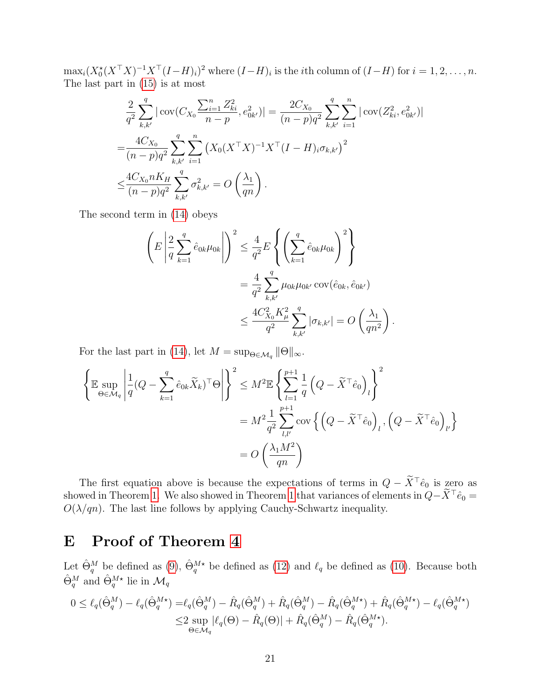$\max_i (X_0^*(X^{\top}X)^{-1}X^{\top}(I-H)_i)^2$  where  $(I-H)_i$  is the *i*th column of  $(I-H)$  for  $i = 1, 2, ..., n$ . The last part in [\(15\)](#page-19-1) is at most

$$
\frac{2}{q^2} \sum_{k,k'}^{q} |\operatorname{cov}(C_{X_0} \frac{\sum_{i=1}^n Z_{ki}^2}{n-p}, e_{0k'}^2)| = \frac{2C_{X_0}}{(n-p)q^2} \sum_{k,k'}^{q} \sum_{i=1}^n |\operatorname{cov}(Z_{ki}^2, e_{0k'}^2)|
$$
  
= 
$$
\frac{4C_{X_0}}{(n-p)q^2} \sum_{k,k'}^{q} \sum_{i=1}^n (X_0 (X^{\top} X)^{-1} X^{\top} (I - H)_{i} \sigma_{k,k'})^2
$$
  

$$
\leq \frac{4C_{X_0} n K_H}{(n-p)q^2} \sum_{k,k'}^{q} \sigma_{k,k'}^2 = O\left(\frac{\lambda_1}{qn}\right).
$$

The second term in [\(14\)](#page-19-0) obeys

$$
\left( E \left| \frac{2}{q} \sum_{k=1}^{q} \hat{e}_{0k} \mu_{0k} \right| \right)^2 \leq \frac{4}{q^2} E \left\{ \left( \sum_{k=1}^{q} \hat{e}_{0k} \mu_{0k} \right)^2 \right\}
$$
  
=  $\frac{4}{q^2} \sum_{k,k'}^{q} \mu_{0k} \mu_{0k'} \text{cov}(\hat{e}_{0k}, \hat{e}_{0k'})$   
 $\leq \frac{4C_{X_0}^2 K_{\mu}^2}{q^2} \sum_{k,k'}^{q} |\sigma_{k,k'}| = O \left( \frac{\lambda_1}{qn^2} \right)$ 

.

For the last part in [\(14\)](#page-19-0), let  $M = \sup_{\Theta \in \mathcal{M}_q} \|\Theta\|_{\infty}$ .

$$
\left\{\mathbb{E}\sup_{\Theta\in\mathcal{M}_q}\left|\frac{1}{q}(Q-\sum_{k=1}^q\hat{e}_{0k}\widetilde{X}_k)^{\top}\Theta\right|\right\}^2\leq M^2\mathbb{E}\left\{\sum_{l=1}^{p+1}\frac{1}{q}\left(Q-\widetilde{X}^{\top}\hat{e}_0\right)_l\right\}^2
$$

$$
=M^2\frac{1}{q^2}\sum_{l,l'}^{p+1}\text{cov}\left\{\left(Q-\widetilde{X}^{\top}\hat{e}_0\right)_l,\left(Q-\widetilde{X}^{\top}\hat{e}_0\right)_{l'}\right\}
$$

$$
=O\left(\frac{\lambda_1M^2}{qn}\right)
$$

The first equation above is because the expectations of terms in  $Q - \tilde{X}^{\top} \hat{e}_0$  is zero as showed in Theorem [1.](#page-4-2) We also showed in Theorem [1](#page-4-2) that variances of elements in  $Q-\widetilde{X}^{\top}\hat{e}_0 =$  $O(\lambda/qn)$ . The last line follows by applying Cauchy-Schwartz inequality.

# E Proof of Theorem [4](#page-5-3)

Let  $\hat{\Theta}_q^M$  be defined as [\(9\)](#page-4-3),  $\hat{\Theta}_q^{M*}$  be defined as [\(12\)](#page-5-2) and  $\ell_q$  be defined as [\(10\)](#page-4-4). Because both  $\hat{\Theta}^M_q$  and  $\hat{\Theta}^{M\star}_q$  lie in  $\mathcal{M}_q$ 

$$
0 \leq \ell_q(\hat{\Theta}_q^M) - \ell_q(\hat{\Theta}_q^{M\star}) = \ell_q(\hat{\Theta}_q^M) - \hat{R}_q(\hat{\Theta}_q^M) + \hat{R}_q(\hat{\Theta}_q^M) - \hat{R}_q(\hat{\Theta}_q^{M\star}) + \hat{R}_q(\hat{\Theta}_q^{M\star}) - \ell_q(\hat{\Theta}_q^{M\star})
$$
  

$$
\leq 2 \sup_{\Theta \in \mathcal{M}_q} |\ell_q(\Theta) - \hat{R}_q(\Theta)| + \hat{R}_q(\hat{\Theta}_q^M) - \hat{R}_q(\hat{\Theta}_q^{M\star}).
$$